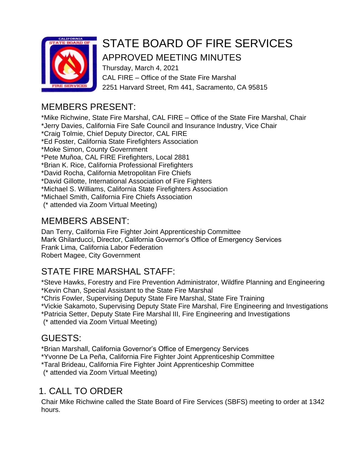

# STATE BOARD OF FIRE SERVICES

# APPROVED MEETING MINUTES

Thursday, March 4, 2021 CAL FIRE – Office of the State Fire Marshal 2251 Harvard Street, Rm 441, Sacramento, CA 95815

# MEMBERS PRESENT:

\*Mike Richwine, State Fire Marshal, CAL FIRE – Office of the State Fire Marshal, Chair \*Jerry Davies, California Fire Safe Council and Insurance Industry, Vice Chair \*Craig Tolmie, Chief Deputy Director, CAL FIRE \*Ed Foster, California State Firefighters Association \*Moke Simon, County Government \*Pete Muñoa, CAL FIRE Firefighters, Local 2881 \*Brian K. Rice, California Professional Firefighters \*David Rocha, California Metropolitan Fire Chiefs \*David Gillotte, International Association of Fire Fighters \*Michael S. Williams, California State Firefighters Association \*Michael Smith, California Fire Chiefs Association (\* attended via Zoom Virtual Meeting)

# MEMBERS ABSENT:

Dan Terry, California Fire Fighter Joint Apprenticeship Committee Mark Ghilarducci, Director, California Governor's Office of Emergency Services Frank Lima, California Labor Federation Robert Magee, City Government

# STATE FIRE MARSHAL STAFF:

\*Steve Hawks, Forestry and Fire Prevention Administrator, Wildfire Planning and Engineering \*Kevin Chan, Special Assistant to the State Fire Marshal

\*Chris Fowler, Supervising Deputy State Fire Marshal, State Fire Training

\*Vickie Sakamoto, Supervising Deputy State Fire Marshal, Fire Engineering and Investigations

\*Patricia Setter, Deputy State Fire Marshal III, Fire Engineering and Investigations

(\* attended via Zoom Virtual Meeting)

# GUESTS:

\*Brian Marshall, California Governor's Office of Emergency Services

\*Yvonne De La Peña, California Fire Fighter Joint Apprenticeship Committee

\*Taral Brideau, California Fire Fighter Joint Apprenticeship Committee

(\* attended via Zoom Virtual Meeting)

# 1. CALL TO ORDER

Chair Mike Richwine called the State Board of Fire Services (SBFS) meeting to order at 1342 hours.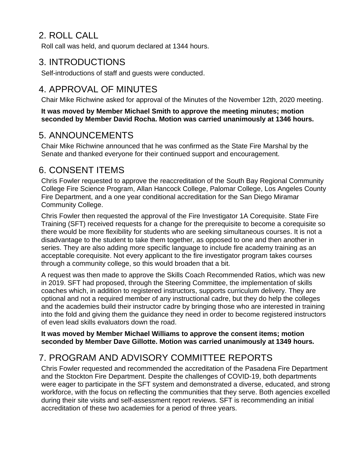# 2. ROLL CALL

Roll call was held, and quorum declared at 1344 hours.

#### 3. INTRODUCTIONS

Self-introductions of staff and guests were conducted.

# 4. APPROVAL OF MINUTES

Chair Mike Richwine asked for approval of the Minutes of the November 12th, 2020 meeting.

**It was moved by Member Michael Smith to approve the meeting minutes; motion seconded by Member David Rocha. Motion was carried unanimously at 1346 hours.**

#### 5. ANNOUNCEMENTS

Chair Mike Richwine announced that he was confirmed as the State Fire Marshal by the Senate and thanked everyone for their continued support and encouragement.

#### 6. CONSENT ITEMS

Chris Fowler requested to approve the reaccreditation of the South Bay Regional Community College Fire Science Program, Allan Hancock College, Palomar College, Los Angeles County Fire Department, and a one year conditional accreditation for the San Diego Miramar Community College.

Chris Fowler then requested the approval of the Fire Investigator 1A Corequisite. State Fire Training (SFT) received requests for a change for the prerequisite to become a corequisite so there would be more flexibility for students who are seeking simultaneous courses. It is not a disadvantage to the student to take them together, as opposed to one and then another in series. They are also adding more specific language to include fire academy training as an acceptable corequisite. Not every applicant to the fire investigator program takes courses through a community college, so this would broaden that a bit.

A request was then made to approve the Skills Coach Recommended Ratios, which was new in 2019. SFT had proposed, through the Steering Committee, the implementation of skills coaches which, in addition to registered instructors, supports curriculum delivery. They are optional and not a required member of any instructional cadre, but they do help the colleges and the academies build their instructor cadre by bringing those who are interested in training into the fold and giving them the guidance they need in order to become registered instructors of even lead skills evaluators down the road.

**It was moved by Member Michael Williams to approve the consent items; motion seconded by Member Dave Gillotte. Motion was carried unanimously at 1349 hours.**

## 7. PROGRAM AND ADVISORY COMMITTEE REPORTS

Chris Fowler requested and recommended the accreditation of the Pasadena Fire Department and the Stockton Fire Department. Despite the challenges of COVID-19, both departments were eager to participate in the SFT system and demonstrated a diverse, educated, and strong workforce, with the focus on reflecting the communities that they serve. Both agencies excelled during their site visits and self-assessment report reviews. SFT is recommending an initial accreditation of these two academies for a period of three years.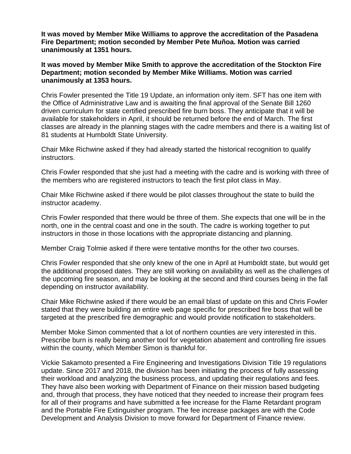**It was moved by Member Mike Williams to approve the accreditation of the Pasadena Fire Department; motion seconded by Member Pete Muñoa. Motion was carried unanimously at 1351 hours.**

**It was moved by Member Mike Smith to approve the accreditation of the Stockton Fire Department; motion seconded by Member Mike Williams. Motion was carried unanimously at 1353 hours.**

Chris Fowler presented the Title 19 Update, an information only item. SFT has one item with the Office of Administrative Law and is awaiting the final approval of the Senate Bill 1260 driven curriculum for state certified prescribed fire burn boss. They anticipate that it will be available for stakeholders in April, it should be returned before the end of March. The first classes are already in the planning stages with the cadre members and there is a waiting list of 81 students at Humboldt State University.

Chair Mike Richwine asked if they had already started the historical recognition to qualify instructors.

Chris Fowler responded that she just had a meeting with the cadre and is working with three of the members who are registered instructors to teach the first pilot class in May.

Chair Mike Richwine asked if there would be pilot classes throughout the state to build the instructor academy.

Chris Fowler responded that there would be three of them. She expects that one will be in the north, one in the central coast and one in the south. The cadre is working together to put instructors in those in those locations with the appropriate distancing and planning.

Member Craig Tolmie asked if there were tentative months for the other two courses.

Chris Fowler responded that she only knew of the one in April at Humboldt state, but would get the additional proposed dates. They are still working on availability as well as the challenges of the upcoming fire season, and may be looking at the second and third courses being in the fall depending on instructor availability.

Chair Mike Richwine asked if there would be an email blast of update on this and Chris Fowler stated that they were building an entire web page specific for prescribed fire boss that will be targeted at the prescribed fire demographic and would provide notification to stakeholders.

Member Moke Simon commented that a lot of northern counties are very interested in this. Prescribe burn is really being another tool for vegetation abatement and controlling fire issues within the county, which Member Simon is thankful for.

Vickie Sakamoto presented a Fire Engineering and Investigations Division Title 19 regulations update. Since 2017 and 2018, the division has been initiating the process of fully assessing their workload and analyzing the business process, and updating their regulations and fees. They have also been working with Department of Finance on their mission based budgeting and, through that process, they have noticed that they needed to increase their program fees for all of their programs and have submitted a fee increase for the Flame Retardant program and the Portable Fire Extinguisher program. The fee increase packages are with the Code Development and Analysis Division to move forward for Department of Finance review.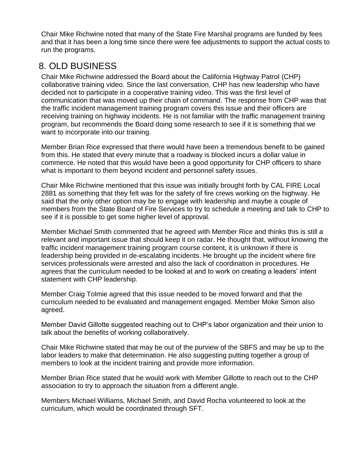Chair Mike Richwine noted that many of the State Fire Marshal programs are funded by fees and that it has been a long time since there were fee adjustments to support the actual costs to run the programs.

#### 8. OLD BUSINESS

Chair Mike Richwine addressed the Board about the California Highway Patrol (CHP) collaborative training video. Since the last conversation, CHP has new leadership who have decided not to participate in a cooperative training video. This was the first level of communication that was moved up their chain of command. The response from CHP was that the traffic incident management training program covers this issue and their officers are receiving training on highway incidents. He is not familiar with the traffic management training program, but recommends the Board doing some research to see if it is something that we want to incorporate into our training.

Member Brian Rice expressed that there would have been a tremendous benefit to be gained from this. He stated that every minute that a roadway is blocked incurs a dollar value in commerce. He noted that this would have been a good opportunity for CHP officers to share what is important to them beyond incident and personnel safety issues.

Chair Mike Richwine mentioned that this issue was initially brought forth by CAL FIRE Local 2881 as something that they felt was for the safety of fire crews working on the highway. He said that the only other option may be to engage with leadership and maybe a couple of members from the State Board of Fire Services to try to schedule a meeting and talk to CHP to see if it is possible to get some higher level of approval.

Member Michael Smith commented that he agreed with Member Rice and thinks this is still a relevant and important issue that should keep it on radar. He thought that, without knowing the traffic incident management training program course content, it is unknown if there is leadership being provided in de-escalating incidents. He brought up the incident where fire services professionals were arrested and also the lack of coordination in procedures. He agrees that the curriculum needed to be looked at and to work on creating a leaders' intent statement with CHP leadership.

Member Craig Tolmie agreed that this issue needed to be moved forward and that the curriculum needed to be evaluated and management engaged. Member Moke Simon also agreed.

Member David Gillotte suggested reaching out to CHP's labor organization and their union to talk about the benefits of working collaboratively.

Chair Mike Richwine stated that may be out of the purview of the SBFS and may be up to the labor leaders to make that determination. He also suggesting putting together a group of members to look at the incident training and provide more information.

Member Brian Rice stated that he would work with Member Gillotte to reach out to the CHP association to try to approach the situation from a different angle.

Members Michael Williams, Michael Smith, and David Rocha volunteered to look at the curriculum, which would be coordinated through SFT.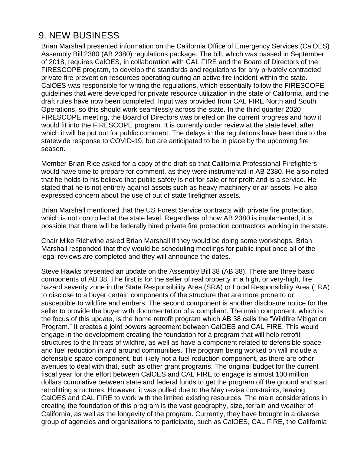## 9. NEW BUSINESS

Brian Marshall presented information on the California Office of Emergency Services (CalOES) Assembly Bill 2380 (AB 2380) regulations package. The bill, which was passed in September of 2018, requires CalOES, in collaboration with CAL FIRE and the Board of Directors of the FIRESCOPE program, to develop the standards and regulations for any privately contracted private fire prevention resources operating during an active fire incident within the state. CalOES was responsible for writing the regulations, which essentially follow the FIRESCOPE guidelines that were developed for private resource utilization in the state of California, and the draft rules have now been completed. Input was provided from CAL FIRE North and South Operations, so this should work seamlessly across the state. In the third quarter 2020 FIRESCOPE meeting, the Board of Directors was briefed on the current progress and how it would fit into the FIRESCOPE program. It is currently under review at the state level, after which it will be put out for public comment. The delays in the regulations have been due to the statewide response to COVID-19, but are anticipated to be in place by the upcoming fire season.

Member Brian Rice asked for a copy of the draft so that California Professional Firefighters would have time to prepare for comment, as they were instrumental in AB 2380. He also noted that he holds to his believe that public safety is not for sale or for profit and is a service. He stated that he is not entirely against assets such as heavy machinery or air assets. He also expressed concern about the use of out of state firefighter assets.

Brian Marshall mentioned that the US Forest Service contracts with private fire protection, which is not controlled at the state level. Regardless of how AB 2380 is implemented, it is possible that there will be federally hired private fire protection contractors working in the state.

Chair Mike Richwine asked Brian Marshall if they would be doing some workshops. Brian Marshall responded that they would be scheduling meetings for public input once all of the legal reviews are completed and they will announce the dates.

Steve Hawks presented an update on the Assembly Bill 38 (AB 38). There are three basic components of AB 38. The first is for the seller of real property in a high, or very-high, fire hazard severity zone in the State Responsibility Area (SRA) or Local Responsibility Area (LRA) to disclose to a buyer certain components of the structure that are more prone to or susceptible to wildfire and embers. The second component is another disclosure notice for the seller to provide the buyer with documentation of a compliant. The main component, which is the focus of this update, is the home retrofit program which AB 38 calls the "Wildfire Mitigation Program." It creates a joint powers agreement between CalOES and CAL FIRE. This would engage in the development creating the foundation for a program that will help retrofit structures to the threats of wildfire, as well as have a component related to defensible space and fuel reduction in and around communities. The program being worked on will include a defensible space component, but likely not a fuel reduction component, as there are other avenues to deal with that, such as other grant programs. The original budget for the current fiscal year for the effort between CalOES and CAL FIRE to engage is almost 100 million dollars cumulative between state and federal funds to get the program off the ground and start retrofitting structures. However, it was pulled due to the May revise constraints, leaving CalOES and CAL FIRE to work with the limited existing resources. The main considerations in creating the foundation of this program is the vast geography, size, terrain and weather of California, as well as the longevity of the program. Currently, they have brought in a diverse group of agencies and organizations to participate, such as CalOES, CAL FIRE, the California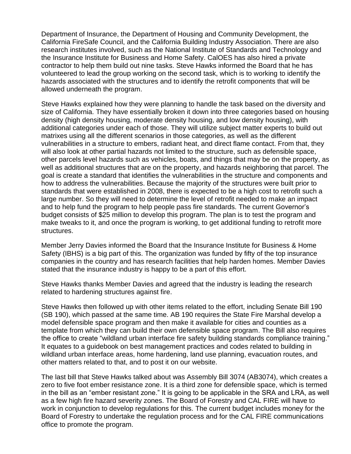Department of Insurance, the Department of Housing and Community Development, the California FireSafe Council, and the California Building Industry Association. There are also research institutes involved, such as the National Institute of Standards and Technology and the Insurance Institute for Business and Home Safety. CalOES has also hired a private contractor to help them build out nine tasks. Steve Hawks informed the Board that he has volunteered to lead the group working on the second task, which is to working to identify the hazards associated with the structures and to identify the retrofit components that will be allowed underneath the program.

Steve Hawks explained how they were planning to handle the task based on the diversity and size of California. They have essentially broken it down into three categories based on housing density (high density housing, moderate density housing, and low density housing), with additional categories under each of those. They will utilize subject matter experts to build out matrixes using all the different scenarios in those categories, as well as the different vulnerabilities in a structure to embers, radiant heat, and direct flame contact. From that, they will also look at other partial hazards not limited to the structure, such as defensible space, other parcels level hazards such as vehicles, boats, and things that may be on the property, as well as additional structures that are on the property, and hazards neighboring that parcel. The goal is create a standard that identifies the vulnerabilities in the structure and components and how to address the vulnerabilities. Because the majority of the structures were built prior to standards that were established in 2008, there is expected to be a high cost to retrofit such a large number. So they will need to determine the level of retrofit needed to make an impact and to help fund the program to help people pass fire standards. The current Governor's budget consists of \$25 million to develop this program. The plan is to test the program and make tweaks to it, and once the program is working, to get additional funding to retrofit more structures.

Member Jerry Davies informed the Board that the Insurance Institute for Business & Home Safety (IBHS) is a big part of this. The organization was funded by fifty of the top insurance companies in the country and has research facilities that help harden homes. Member Davies stated that the insurance industry is happy to be a part of this effort.

Steve Hawks thanks Member Davies and agreed that the industry is leading the research related to hardening structures against fire.

Steve Hawks then followed up with other items related to the effort, including Senate Bill 190 (SB 190), which passed at the same time. AB 190 requires the State Fire Marshal develop a model defensible space program and then make it available for cities and counties as a template from which they can build their own defensible space program. The Bill also requires the office to create "wildland urban interface fire safety building standards compliance training." It equates to a guidebook on best management practices and codes related to building in wildland urban interface areas, home hardening, land use planning, evacuation routes, and other matters related to that, and to post it on our website.

The last bill that Steve Hawks talked about was Assembly Bill 3074 (AB3074), which creates a zero to five foot ember resistance zone. It is a third zone for defensible space, which is termed in the bill as an "ember resistant zone." It is going to be applicable in the SRA and LRA, as well as a few high fire hazard severity zones. The Board of Forestry and CAL FIRE will have to work in conjunction to develop regulations for this. The current budget includes money for the Board of Forestry to undertake the regulation process and for the CAL FIRE communications office to promote the program.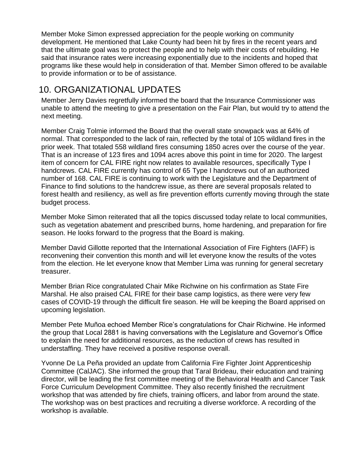Member Moke Simon expressed appreciation for the people working on community development. He mentioned that Lake County had been hit by fires in the recent years and that the ultimate goal was to protect the people and to help with their costs of rebuilding. He said that insurance rates were increasing exponentially due to the incidents and hoped that programs like these would help in consideration of that. Member Simon offered to be available to provide information or to be of assistance.

#### 10. ORGANIZATIONAL UPDATES

Member Jerry Davies regretfully informed the board that the Insurance Commissioner was unable to attend the meeting to give a presentation on the Fair Plan, but would try to attend the next meeting.

Member Craig Tolmie informed the Board that the overall state snowpack was at 64% of normal. That corresponded to the lack of rain, reflected by the total of 105 wildland fires in the prior week. That totaled 558 wildland fires consuming 1850 acres over the course of the year. That is an increase of 123 fires and 1094 acres above this point in time for 2020. The largest item of concern for CAL FIRE right now relates to available resources, specifically Type I handcrews. CAL FIRE currently has control of 65 Type I handcrews out of an authorized number of 168. CAL FIRE is continuing to work with the Legislature and the Department of Finance to find solutions to the handcrew issue, as there are several proposals related to forest health and resiliency, as well as fire prevention efforts currently moving through the state budget process.

Member Moke Simon reiterated that all the topics discussed today relate to local communities, such as vegetation abatement and prescribed burns, home hardening, and preparation for fire season. He looks forward to the progress that the Board is making.

Member David Gillotte reported that the International Association of Fire Fighters (IAFF) is reconvening their convention this month and will let everyone know the results of the votes from the election. He let everyone know that Member Lima was running for general secretary treasurer.

Member Brian Rice congratulated Chair Mike Richwine on his confirmation as State Fire Marshal. He also praised CAL FIRE for their base camp logistics, as there were very few cases of COVID-19 through the difficult fire season. He will be keeping the Board apprised on upcoming legislation.

Member Pete Muñoa echoed Member Rice's congratulations for Chair Richwine. He informed the group that Local 2881 is having conversations with the Legislature and Governor's Office to explain the need for additional resources, as the reduction of crews has resulted in understaffing. They have received a positive response overall.

Yvonne De La Peña provided an update from California Fire Fighter Joint Apprenticeship Committee (CalJAC). She informed the group that Taral Brideau, their education and training director, will be leading the first committee meeting of the Behavioral Health and Cancer Task Force Curriculum Development Committee. They also recently finished the recruitment workshop that was attended by fire chiefs, training officers, and labor from around the state. The workshop was on best practices and recruiting a diverse workforce. A recording of the workshop is available.